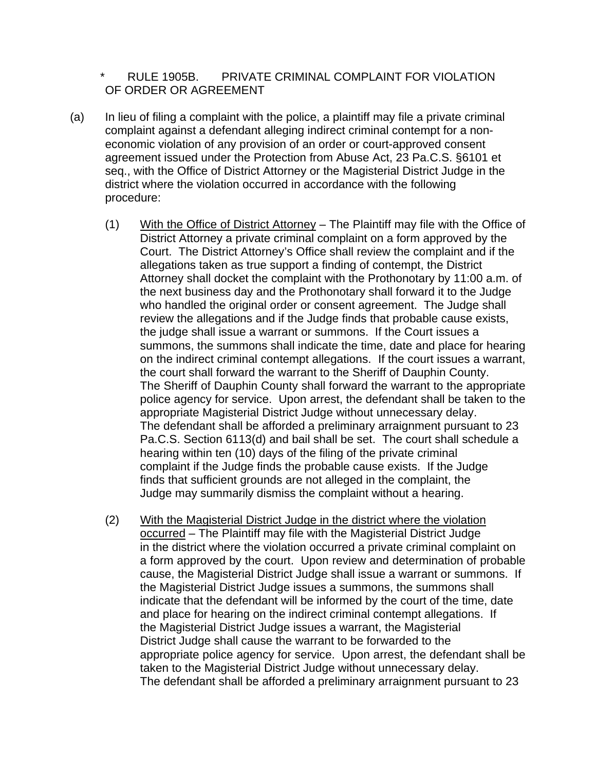RULE 1905B. PRIVATE CRIMINAL COMPLAINT FOR VIOLATION OF ORDER OR AGREEMENT

- (a) In lieu of filing a complaint with the police, a plaintiff may file a private criminal complaint against a defendant alleging indirect criminal contempt for a non economic violation of any provision of an order or court-approved consent agreement issued under the Protection from Abuse Act, 23 Pa.C.S. §6101 et seq., with the Office of District Attorney or the Magisterial District Judge in the district where the violation occurred in accordance with the following procedure:
	- (1) With the Office of District Attorney The Plaintiff may file with the Office of District Attorney a private criminal complaint on a form approved by the Court. The District Attorney's Office shall review the complaint and if the allegations taken as true support a finding of contempt, the District Attorney shall docket the complaint with the Prothonotary by 11:00 a.m. of the next business day and the Prothonotary shall forward it to the Judge who handled the original order or consent agreement. The Judge shall review the allegations and if the Judge finds that probable cause exists, the judge shall issue a warrant or summons. If the Court issues a summons, the summons shall indicate the time, date and place for hearing on the indirect criminal contempt allegations. If the court issues a warrant, the court shall forward the warrant to the Sheriff of Dauphin County. The Sheriff of Dauphin County shall forward the warrant to the appropriate police agency for service. Upon arrest, the defendant shall be taken to the appropriate Magisterial District Judge without unnecessary delay. The defendant shall be afforded a preliminary arraignment pursuant to 23 Pa.C.S. Section 6113(d) and bail shall be set. The court shall schedule a hearing within ten (10) days of the filing of the private criminal complaint if the Judge finds the probable cause exists. If the Judge finds that sufficient grounds are not alleged in the complaint, the Judge may summarily dismiss the complaint without a hearing.
	- (2) With the Magisterial District Judge in the district where the violation occurred – The Plaintiff may file with the Magisterial District Judge in the district where the violation occurred a private criminal complaint on a form approved by the court. Upon review and determination of probable cause, the Magisterial District Judge shall issue a warrant or summons. If the Magisterial District Judge issues a summons, the summons shall indicate that the defendant will be informed by the court of the time, date and place for hearing on the indirect criminal contempt allegations. If the Magisterial District Judge issues a warrant, the Magisterial District Judge shall cause the warrant to be forwarded to the appropriate police agency for service. Upon arrest, the defendant shall be taken to the Magisterial District Judge without unnecessary delay. The defendant shall be afforded a preliminary arraignment pursuant to 23